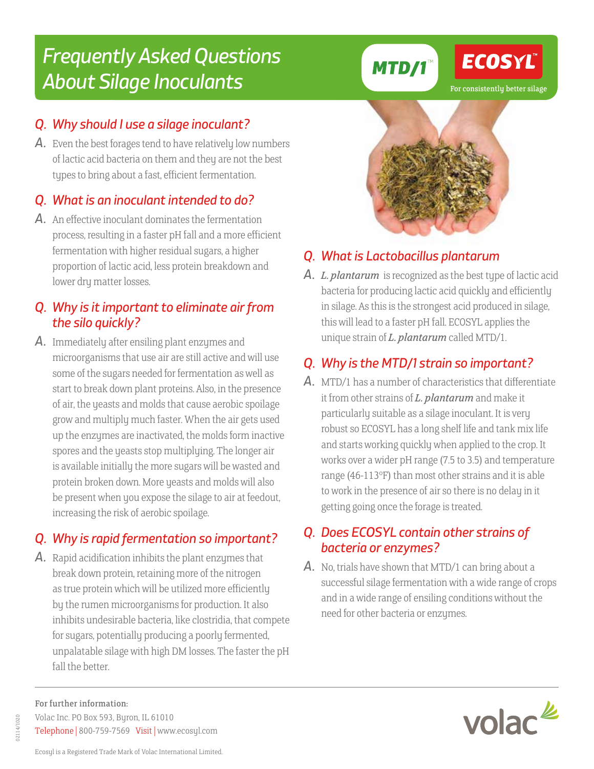#### For further information: Volac Inc. PO Box 593, Byron, IL 61010 Telephone | 800-759-7569 Visit | www.ecosyl.com

# Frequently Asked Questions About Silage Inoculants

#### Q. Why should I use a silage inoculant?

A. Even the best forages tend to have relatively low numbers of lactic acid bacteria on them and they are not the best types to bring about a fast, efficient fermentation.

### Q. What is an inoculant intended to do?

A. An effective inoculant dominates the fermentation process, resulting in a faster pH fall and a more efficient fermentation with higher residual sugars, a higher proportion of lactic acid, less protein breakdown and lower dry matter losses.

#### Q. Why is it important to eliminate air from the silo quickly?

A. Immediately after ensiling plant enzymes and microorganisms that use air are still active and will use some of the sugars needed for fermentation as well as start to break down plant proteins. Also, in the presence of air, the yeasts and molds that cause aerobic spoilage grow and multiply much faster. When the air gets used up the enzymes are inactivated, the molds form inactive spores and the yeasts stop multiplying. The longer air is available initially the more sugars will be wasted and protein broken down. More yeasts and molds will also be present when you expose the silage to air at feedout, increasing the risk of aerobic spoilage.

# Q. Why is rapid fermentation so important?

A. Rapid acidification inhibits the plant enzymes that break down protein, retaining more of the nitrogen as true protein which will be utilized more efficiently by the rumen microorganisms for production. It also inhibits undesirable bacteria, like clostridia, that compete for sugars, potentially producing a poorly fermented, unpalatable silage with high DM losses. The faster the pH fall the better

## Q. What is Lactobacillus plantarum

**MTD/1™** 

A. *L. plantarum* is recognized as the best type of lactic acid bacteria for producing lactic acid quickly and efficiently in silage. As this is the strongest acid produced in silage, this will lead to a faster pH fall. ECOSYL applies the unique strain of *L. plantarum* called MTD/1.

## Q. Why is the MTD/1 strain so important?

A. MTD/1 has a number of characteristics that differentiate it from other strains of *L. plantarum* and make it particularly suitable as a silage inoculant. It is very robust so ECOSYL has a long shelf life and tank mix life and starts working quickly when applied to the crop. It works over a wider pH range (7.5 to 3.5) and temperature range (46-113°F) than most other strains and it is able to work in the presence of air so there is no delay in it getting going once the forage is treated.

#### Q. Does ECOSYL contain other strains of bacteria or enzymes?

A. No, trials have shown that MTD/1 can bring about a successful silage fermentation with a wide range of crops and in a wide range of ensiling conditions without the need for other bacteria or enzymes.





# ECOSYL

02114/1020 02114/1020